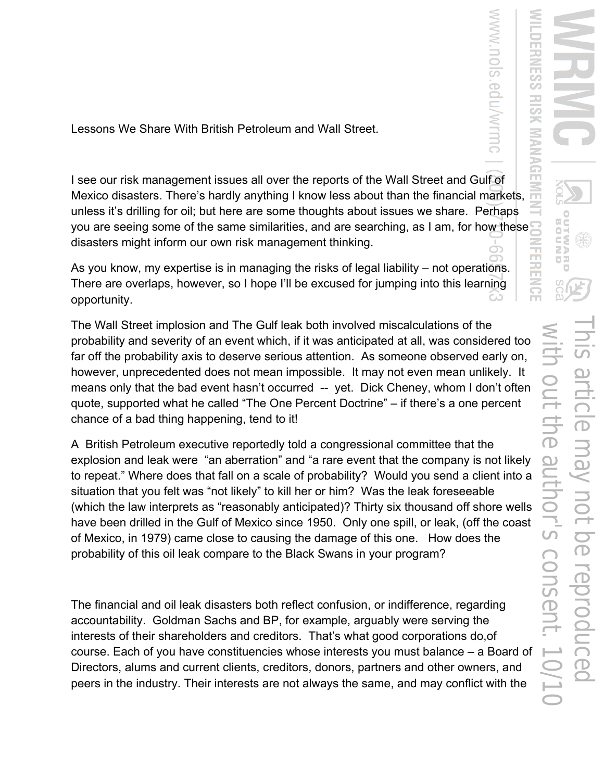with out the author's consent. 10/10This article may not be reproduced B  $\widetilde{\mathbb{D}}$ 

in pər

Lessons We Share With British Petroleum and Wall Street.

I see our risk management issues all over the reports of the Wall Street and Gulf of Mexico disasters. There's hardly anything I know less about than the financial markets, unless it's drilling for oil; but here are some thoughts about issues we share. Perhaps you are seeing some of the same similarities, and are searching, as I am, for how these disasters might inform our own risk management thinking.

As you know, my expertise is in managing the risks of legal liability – not operations. There are overlaps, however, so I hope I'll be excused for jumping into this learning opportunity.

The Wall Street implosion and The Gulf leak both involved miscalculations of the probability and severity of an event which, if it was anticipated at all, was considered too far off the probability axis to deserve serious attention. As someone observed early on, however, unprecedented does not mean impossible. It may not even mean unlikely. It means only that the bad event hasn't occurred -- yet. Dick Cheney, whom I don't often quote, supported what he called "The One Percent Doctrine" – if there's a one percent chance of a bad thing happening, tend to it!

A British Petroleum executive reportedly told a congressional committee that the explosion and leak were "an aberration" and "a rare event that the company is not likely to repeat." Where does that fall on a scale of probability? Would you send a client into a situation that you felt was "not likely" to kill her or him? Was the leak foreseeable (which the law interprets as "reasonably anticipated)? Thirty six thousand off shore wells have been drilled in the Gulf of Mexico since 1950. Only one spill, or leak, (off the coast of Mexico, in 1979) came close to causing the damage of this one. How does the probability of this oil leak compare to the Black Swans in your program?

The financial and oil leak disasters both reflect confusion, or indifference, regarding accountability. Goldman Sachs and BP, for example, arguably were serving the interests of their shareholders and creditors. That's what good corporations do,of course. Each of you have constituencies whose interests you must balance – a Board of Directors, alums and current clients, creditors, donors, partners and other owners, and peers in the industry. Their interests are not always the same, and may conflict with the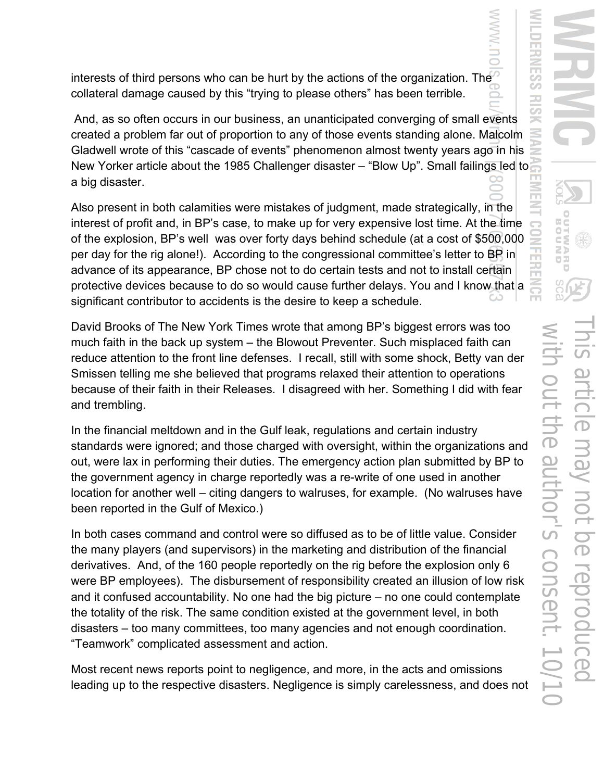UR with out the author's consent. 10/10This article may not be reproduced **LIC** OUINE **OJQ UCGO** 

interests of third persons who can be hurt by the actions of the organization. The collateral damage caused by this "trying to please others" has been terrible.

 And, as so often occurs in our business, an unanticipated converging of small events created a problem far out of proportion to any of those events standing alone. Malcolm Gladwell wrote of this "cascade of events" phenomenon almost twenty years ago in his New Yorker article about the 1985 Challenger disaster – "Blow Up". Small failings led to a big disaster.

Also present in both calamities were mistakes of judgment, made strategically, in the interest of profit and, in BP's case, to make up for very expensive lost time. At the time of the explosion, BP's well was over forty days behind schedule (at a cost of \$500,000 per day for the rig alone!). According to the congressional committee's letter to BP in advance of its appearance, BP chose not to do certain tests and not to install certain protective devices because to do so would cause further delays. You and I know that a significant contributor to accidents is the desire to keep a schedule.

David Brooks of The New York Times wrote that among BP's biggest errors was too much faith in the back up system – the Blowout Preventer. Such misplaced faith can reduce attention to the front line defenses. I recall, still with some shock, Betty van der Smissen telling me she believed that programs relaxed their attention to operations because of their faith in their Releases. I disagreed with her. Something I did with fear and trembling.

In the financial meltdown and in the Gulf leak, regulations and certain industry standards were ignored; and those charged with oversight, within the organizations and out, were lax in performing their duties. The emergency action plan submitted by BP to the government agency in charge reportedly was a re-write of one used in another location for another well – citing dangers to walruses, for example. (No walruses have been reported in the Gulf of Mexico.)

In both cases command and control were so diffused as to be of little value. Consider the many players (and supervisors) in the marketing and distribution of the financial derivatives. And, of the 160 people reportedly on the rig before the explosion only 6 were BP employees). The disbursement of responsibility created an illusion of low risk and it confused accountability. No one had the big picture – no one could contemplate the totality of the risk. The same condition existed at the government level, in both disasters – too many committees, too many agencies and not enough coordination. "Teamwork" complicated assessment and action.

Most recent news reports point to negligence, and more, in the acts and omissions leading up to the respective disasters. Negligence is simply carelessness, and does not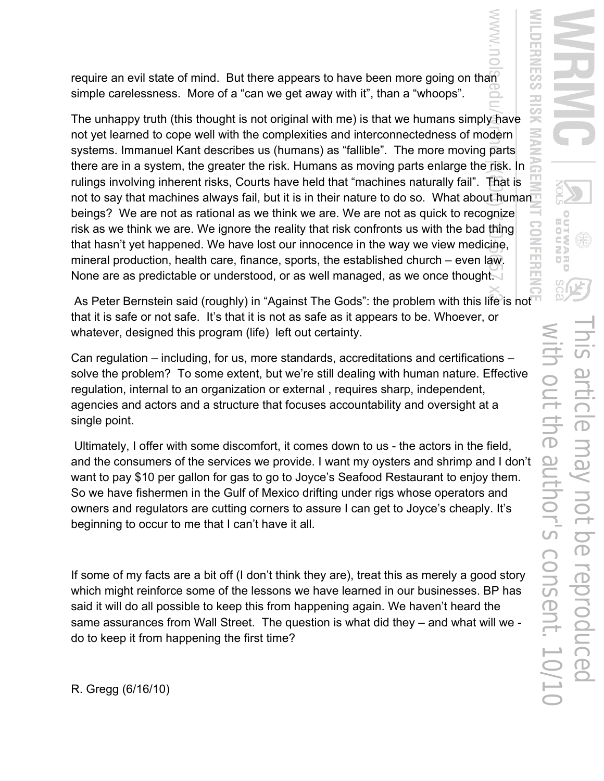require an evil state of mind. But there appears to have been more going on than simple carelessness. More of a "can we get away with it", than a "whoops".

The unhappy truth (this thought is not original with me) is that we humans simply have not yet learned to cope well with the complexities and interconnectedness of modern systems. Immanuel Kant describes us (humans) as "fallible". The more moving parts there are in a system, the greater the risk. Humans as moving parts enlarge the risk. In rulings involving inherent risks, Courts have held that "machines naturally fail". That is not to say that machines always fail, but it is in their nature to do so. What about human beings? We are not as rational as we think we are. We are not as quick to recognize risk as we think we are. We ignore the reality that risk confronts us with the bad thing that hasn't yet happened. We have lost our innocence in the way we view medicine, mineral production, health care, finance, sports, the established church – even law. None are as predictable or understood, or as well managed, as we once thought.

As Peter Bernstein said (roughly) in "Against The Gods": the problem with this life is not that it is safe or not safe. It's that it is not as safe as it appears to be. Whoever, or whatever, designed this program (life) left out certainty.

Can regulation – including, for us, more standards, accreditations and certifications – solve the problem? To some extent, but we're still dealing with human nature. Effective regulation, internal to an organization or external , requires sharp, independent, agencies and actors and a structure that focuses accountability and oversight at a single point.

 Ultimately, I offer with some discomfort, it comes down to us - the actors in the field, and the consumers of the services we provide. I want my oysters and shrimp and I don't want to pay \$10 per gallon for gas to go to Joyce's Seafood Restaurant to enjoy them. So we have fishermen in the Gulf of Mexico drifting under rigs whose operators and owners and regulators are cutting corners to assure I can get to Joyce's cheaply. It's beginning to occur to me that I can't have it all.

If some of my facts are a bit off (I don't think they are), treat this as merely a good story which might reinforce some of the lessons we have learned in our businesses. BP has said it will do all possible to keep this from happening again. We haven't heard the same assurances from Wall Street. The question is what did they – and what will we do to keep it from happening the first time?

R. Gregg (6/16/10)